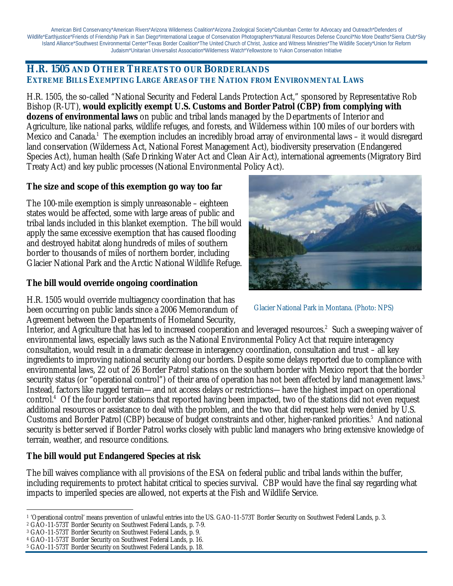American Bird Conservancy\*American Rivers\*Arizona Wilderness Coalition\*Arizona Zoological Society\*Columban Center for Advocacy and Outreach\*Defenders of Wildlife\*Earthjustice\*Friends of Friendship Park in San Diego\*International League of Conservation Photographers\*Natural Resources Defense Council\*No More Deaths\*Sierra Club\*Sky Island Alliance\*Southwest Environmental Center\*Texas Border Coalition\*The United Church of Christ, Justice and Witness Ministries\*The Wildlife Society\*Union for Reform Judaism\*Unitarian Universalist Association\*Wilderness Watch\*Yellowstone to Yukon Conservation Initiative

### **H.R. 1505 AND OTHER THREATS TO OUR BORDERLANDS EXTREME BILLS EXEMPTING LARGE AREAS OF THE NATION FROM ENVIRONMENTAL LAWS**

H.R. 1505, the so-called "National Security and Federal Lands Protection Act," sponsored by Representative Rob Bishop (R-UT), *would explicitly exempt U.S. Customs and Border Patrol (CBP) from complying with dozens of environmental laws* on public and tribal lands managed by the Departments of Interior and Agriculture, like national parks, wildlife refuges, and forests, and Wilderness within 100 miles of our borders with Mexico and Canada.<sup>1</sup> The exemption includes an incredibly broad array of environmental laws – it would disregard land conservation (Wilderness Act, National Forest Management Act), biodiversity preservation (Endangered Species Act), human health (Safe Drinking Water Act and Clean Air Act), international agreements (Migratory Bird Treaty Act) and key public processes (National Environmental Policy Act).

### **The size and scope of this exemption go way too far**

The 100-mile exemption is simply unreasonable – eighteen states would be affected, some with large areas of public and tribal lands included in this blanket exemption. The bill would apply the same excessive exemption that has caused flooding and destroyed habitat along hundreds of miles of southern border to thousands of miles of northern border, including Glacier National Park and the Arctic National Wildlife Refuge.

### **The bill would override ongoing coordination**



Glacier National Park in Montana. (Photo: NPS)

H.R. 1505 would override multiagency coordination that has been occurring on public lands since a 2006 Memorandum of Agreement between the Departments of Homeland Security,

Interior, and Agriculture that has led to increased cooperation and leveraged resources.<sup>2</sup> Such a sweeping waiver of environmental laws, especially laws such as the National Environmental Policy Act that require interagency consultation, would result in a dramatic decrease in interagency coordination, consultation and trust – all key ingredients to improving national security along our borders. Despite some delays reported due to compliance with environmental laws, 22 out of 26 Border Patrol stations on the southern border with Mexico report that the border security status (or "operational control") of their area of operation has not been affected by land management laws. $^3$ Instead, factors like rugged terrain—and *not* access delays or restrictions—have the highest impact on operational control.<sup>4</sup> Of the four border stations that reported having been impacted, two of the stations did not even request additional resources or assistance to deal with the problem, and the two that did request help were denied by U.S. Customs and Border Patrol (CBP) because of budget constraints and other, higher-ranked priorities.<sup>5</sup> And national security is better served if Border Patrol works closely with public land managers who bring extensive knowledge of terrain, weather, and resource conditions.

### **The bill would put Endangered Species at risk**

The bill waives compliance with *all* provisions of the ESA on federal public and tribal lands within the buffer, including requirements to protect habitat critical to species survival. CBP would have the final say regarding what impacts to imperiled species are allowed, not experts at the Fish and Wildlife Service.

 $\overline{a}$ <sup>1</sup> 'Operational control' means prevention of unlawful entries into the US. GAO-11-573T Border Security on Southwest Federal Lands, p. 3.

<sup>2</sup> GAO-11-573T Border Security on Southwest Federal Lands, p. 7-9.

<sup>3</sup> GAO-11-573T Border Security on Southwest Federal Lands, p. 9.

<sup>4</sup> GAO-11-573T Border Security on Southwest Federal Lands, p. 16.

<sup>5</sup> GAO-11-573T Border Security on Southwest Federal Lands, p. 18.